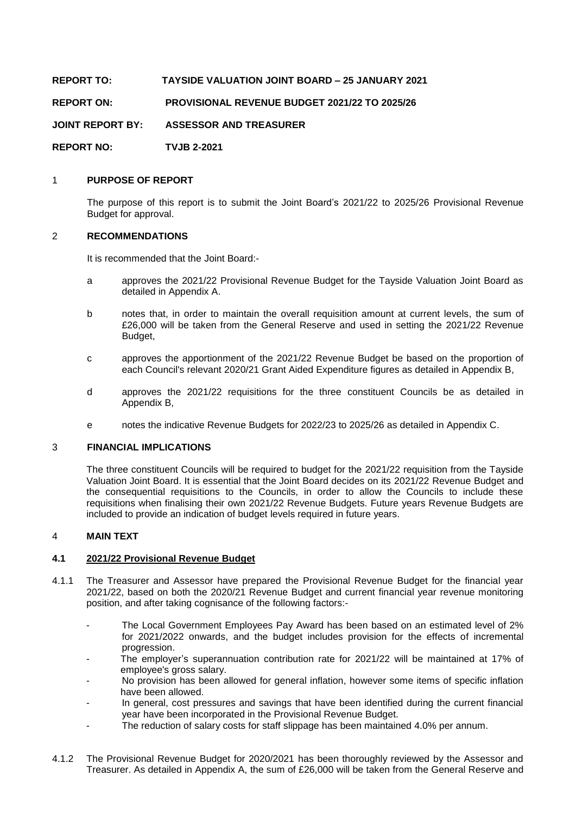**REPORT TO: TAYSIDE VALUATION JOINT BOARD – 25 JANUARY 2021**

**REPORT ON: PROVISIONAL REVENUE BUDGET 2021/22 TO 2025/26**

**JOINT REPORT BY: ASSESSOR AND TREASURER**

**REPORT NO: TVJB 2-2021**

#### 1 **PURPOSE OF REPORT**

The purpose of this report is to submit the Joint Board's 2021/22 to 2025/26 Provisional Revenue Budget for approval.

#### 2 **RECOMMENDATIONS**

It is recommended that the Joint Board:-

- a approves the 2021/22 Provisional Revenue Budget for the Tayside Valuation Joint Board as detailed in Appendix A.
- b notes that, in order to maintain the overall requisition amount at current levels, the sum of £26,000 will be taken from the General Reserve and used in setting the 2021/22 Revenue Budget,
- c approves the apportionment of the 2021/22 Revenue Budget be based on the proportion of each Council's relevant 2020/21 Grant Aided Expenditure figures as detailed in Appendix B,
- d approves the 2021/22 requisitions for the three constituent Councils be as detailed in Appendix B,
- e notes the indicative Revenue Budgets for 2022/23 to 2025/26 as detailed in Appendix C.

#### 3 **FINANCIAL IMPLICATIONS**

The three constituent Councils will be required to budget for the 2021/22 requisition from the Tayside Valuation Joint Board. It is essential that the Joint Board decides on its 2021/22 Revenue Budget and the consequential requisitions to the Councils, in order to allow the Councils to include these requisitions when finalising their own 2021/22 Revenue Budgets. Future years Revenue Budgets are included to provide an indication of budget levels required in future years.

## 4 **MAIN TEXT**

### **4.1 2021/22 Provisional Revenue Budget**

- 4.1.1 The Treasurer and Assessor have prepared the Provisional Revenue Budget for the financial year 2021/22, based on both the 2020/21 Revenue Budget and current financial year revenue monitoring position, and after taking cognisance of the following factors:-
	- The Local Government Employees Pay Award has been based on an estimated level of 2% for 2021/2022 onwards, and the budget includes provision for the effects of incremental progression.
	- The employer's superannuation contribution rate for 2021/22 will be maintained at 17% of employee's gross salary.
	- No provision has been allowed for general inflation, however some items of specific inflation have been allowed.
	- In general, cost pressures and savings that have been identified during the current financial year have been incorporated in the Provisional Revenue Budget.
	- The reduction of salary costs for staff slippage has been maintained 4.0% per annum.
- 4.1.2 The Provisional Revenue Budget for 2020/2021 has been thoroughly reviewed by the Assessor and Treasurer. As detailed in Appendix A, the sum of £26,000 will be taken from the General Reserve and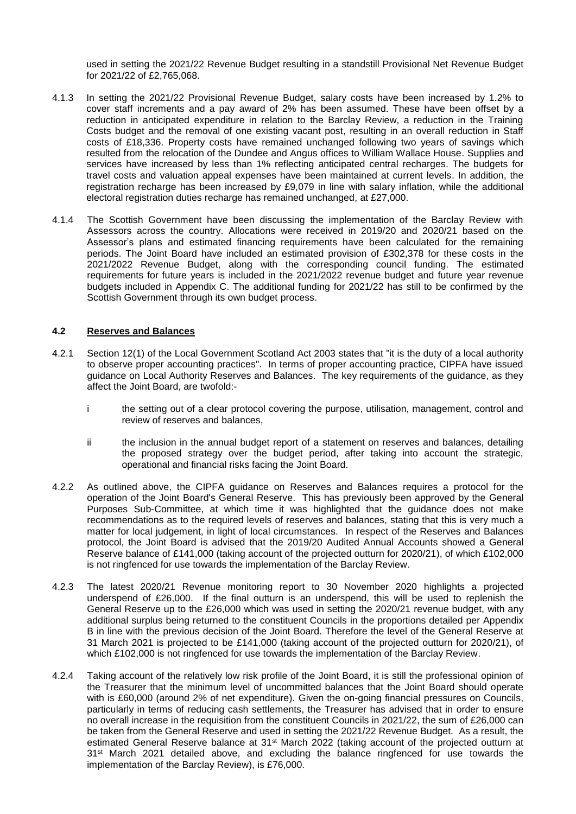used in setting the 2021/22 Revenue Budget resulting in a standstill Provisional Net Revenue Budget for 2021/22 of £2,765,068.

- 4.1.3 In setting the 2021/22 Provisional Revenue Budget, salary costs have been increased by 1.2% to cover staff increments and a pay award of 2% has been assumed. These have been offset by a reduction in anticipated expenditure in relation to the Barclay Review, a reduction in the Training Costs budget and the removal of one existing vacant post, resulting in an overall reduction in Staff costs of £18,336. Property costs have remained unchanged following two years of savings which resulted from the relocation of the Dundee and Angus offices to William Wallace House. Supplies and services have increased by less than 1% reflecting anticipated central recharges. The budgets for travel costs and valuation appeal expenses have been maintained at current levels. In addition, the registration recharge has been increased by £9,079 in line with salary inflation, while the additional electoral registration duties recharge has remained unchanged, at £27,000.
- 4.1.4 The Scottish Government have been discussing the implementation of the Barclay Review with Assessors across the country. Allocations were received in 2019/20 and 2020/21 based on the Assessor's plans and estimated financing requirements have been calculated for the remaining periods. The Joint Board have included an estimated provision of £302,378 for these costs in the 2021/2022 Revenue Budget, along with the corresponding council funding. The estimated requirements for future years is included in the 2021/2022 revenue budget and future year revenue budgets included in Appendix C. The additional funding for 2021/22 has still to be confirmed by the Scottish Government through its own budget process.

#### **4.2 Reserves and Balances**

- 4.2.1 Section 12(1) of the Local Government Scotland Act 2003 states that "it is the duty of a local authority to observe proper accounting practices". In terms of proper accounting practice, CIPFA have issued guidance on Local Authority Reserves and Balances. The key requirements of the guidance, as they affect the Joint Board, are twofold:
	- i the setting out of a clear protocol covering the purpose, utilisation, management, control and review of reserves and balances,
	- ii the inclusion in the annual budget report of a statement on reserves and balances, detailing the proposed strategy over the budget period, after taking into account the strategic, operational and financial risks facing the Joint Board.
- 4.2.2 As outlined above, the CIPFA guidance on Reserves and Balances requires a protocol for the operation of the Joint Board's General Reserve. This has previously been approved by the General Purposes Sub-Committee, at which time it was highlighted that the guidance does not make recommendations as to the required levels of reserves and balances, stating that this is very much a matter for local judgement, in light of local circumstances. In respect of the Reserves and Balances protocol, the Joint Board is advised that the 2019/20 Audited Annual Accounts showed a General Reserve balance of £141,000 (taking account of the projected outturn for 2020/21), of which £102,000 is not ringfenced for use towards the implementation of the Barclay Review.
- 4.2.3 The latest 2020/21 Revenue monitoring report to 30 November 2020 highlights a projected underspend of £26,000. If the final outturn is an underspend, this will be used to replenish the General Reserve up to the £26,000 which was used in setting the 2020/21 revenue budget, with any additional surplus being returned to the constituent Councils in the proportions detailed per Appendix B in line with the previous decision of the Joint Board. Therefore the level of the General Reserve at 31 March 2021 is projected to be £141,000 (taking account of the projected outturn for 2020/21), of which £102,000 is not ringfenced for use towards the implementation of the Barclay Review.
- 4.2.4 Taking account of the relatively low risk profile of the Joint Board, it is still the professional opinion of the Treasurer that the minimum level of uncommitted balances that the Joint Board should operate with is £60,000 (around 2% of net expenditure). Given the on-going financial pressures on Councils, particularly in terms of reducing cash settlements, the Treasurer has advised that in order to ensure no overall increase in the requisition from the constituent Councils in 2021/22, the sum of £26,000 can be taken from the General Reserve and used in setting the 2021/22 Revenue Budget. As a result, the estimated General Reserve balance at 31<sup>st</sup> March 2022 (taking account of the projected outturn at 31<sup>st</sup> March 2021 detailed above, and excluding the balance ringfenced for use towards the implementation of the Barclay Review), is £76,000.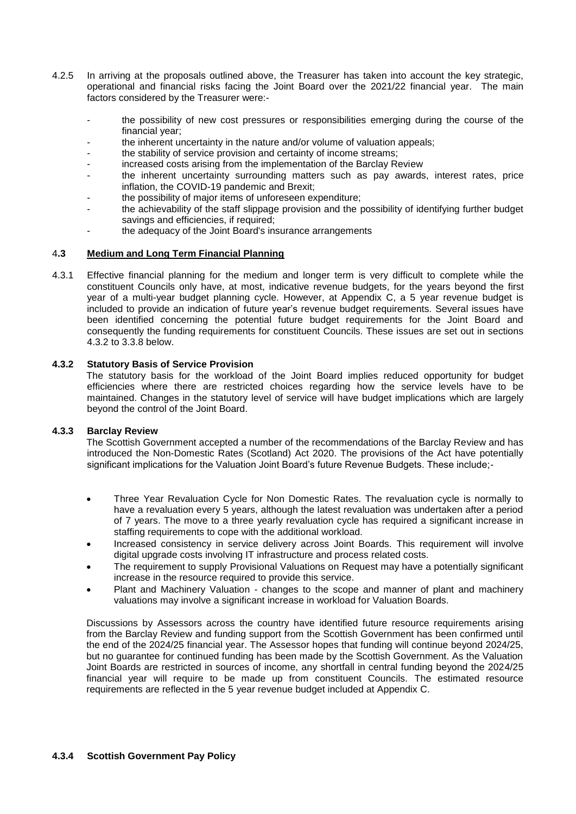- 4.2.5 In arriving at the proposals outlined above, the Treasurer has taken into account the key strategic, operational and financial risks facing the Joint Board over the 2021/22 financial year. The main factors considered by the Treasurer were:
	- the possibility of new cost pressures or responsibilities emerging during the course of the financial year;
	- the inherent uncertainty in the nature and/or volume of valuation appeals;
	- the stability of service provision and certainty of income streams;
	- increased costs arising from the implementation of the Barclay Review
	- the inherent uncertainty surrounding matters such as pay awards, interest rates, price inflation, the COVID-19 pandemic and Brexit;
	- the possibility of major items of unforeseen expenditure;
	- the achievability of the staff slippage provision and the possibility of identifying further budget savings and efficiencies, if required;
	- the adequacy of the Joint Board's insurance arrangements

#### 4**.3 Medium and Long Term Financial Planning**

4.3.1 Effective financial planning for the medium and longer term is very difficult to complete while the constituent Councils only have, at most, indicative revenue budgets, for the years beyond the first year of a multi-year budget planning cycle. However, at Appendix C, a 5 year revenue budget is included to provide an indication of future year's revenue budget requirements. Several issues have been identified concerning the potential future budget requirements for the Joint Board and consequently the funding requirements for constituent Councils. These issues are set out in sections 4.3.2 to 3.3.8 below.

#### **4.3.2 Statutory Basis of Service Provision**

The statutory basis for the workload of the Joint Board implies reduced opportunity for budget efficiencies where there are restricted choices regarding how the service levels have to be maintained. Changes in the statutory level of service will have budget implications which are largely beyond the control of the Joint Board.

## **4.3.3 Barclay Review**

The Scottish Government accepted a number of the recommendations of the Barclay Review and has introduced the Non-Domestic Rates (Scotland) Act 2020. The provisions of the Act have potentially significant implications for the Valuation Joint Board's future Revenue Budgets. These include;-

- Three Year Revaluation Cycle for Non Domestic Rates. The revaluation cycle is normally to have a revaluation every 5 years, although the latest revaluation was undertaken after a period of 7 years. The move to a three yearly revaluation cycle has required a significant increase in staffing requirements to cope with the additional workload.
- Increased consistency in service delivery across Joint Boards. This requirement will involve digital upgrade costs involving IT infrastructure and process related costs.
- The requirement to supply Provisional Valuations on Request may have a potentially significant increase in the resource required to provide this service.
- Plant and Machinery Valuation changes to the scope and manner of plant and machinery valuations may involve a significant increase in workload for Valuation Boards.

Discussions by Assessors across the country have identified future resource requirements arising from the Barclay Review and funding support from the Scottish Government has been confirmed until the end of the 2024/25 financial year. The Assessor hopes that funding will continue beyond 2024/25, but no guarantee for continued funding has been made by the Scottish Government. As the Valuation Joint Boards are restricted in sources of income, any shortfall in central funding beyond the 2024/25 financial year will require to be made up from constituent Councils. The estimated resource requirements are reflected in the 5 year revenue budget included at Appendix C.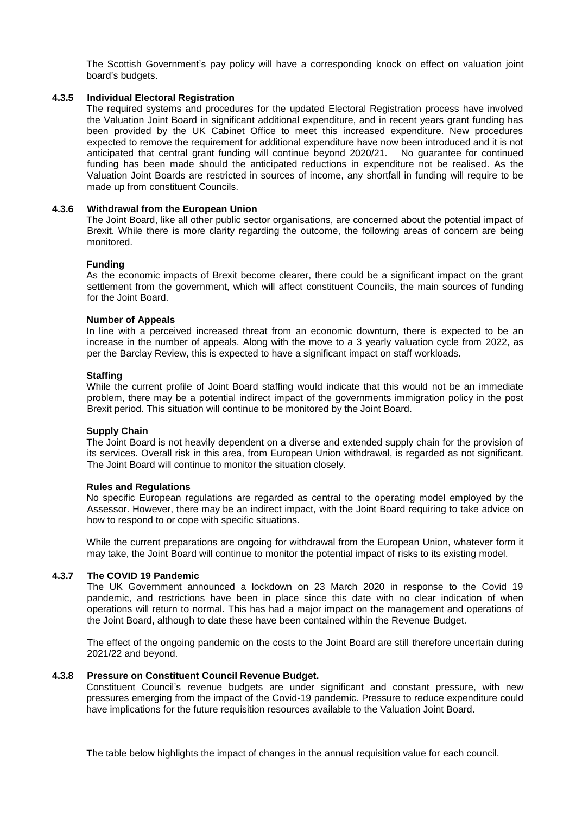The Scottish Government's pay policy will have a corresponding knock on effect on valuation joint board's budgets.

#### **4.3.5 Individual Electoral Registration**

The required systems and procedures for the updated Electoral Registration process have involved the Valuation Joint Board in significant additional expenditure, and in recent years grant funding has been provided by the UK Cabinet Office to meet this increased expenditure. New procedures expected to remove the requirement for additional expenditure have now been introduced and it is not anticipated that central grant funding will continue beyond 2020/21. No guarantee for continued funding has been made should the anticipated reductions in expenditure not be realised. As the Valuation Joint Boards are restricted in sources of income, any shortfall in funding will require to be made up from constituent Councils.

#### **4.3.6 Withdrawal from the European Union**

The Joint Board, like all other public sector organisations, are concerned about the potential impact of Brexit. While there is more clarity regarding the outcome, the following areas of concern are being monitored.

#### **Funding**

As the economic impacts of Brexit become clearer, there could be a significant impact on the grant settlement from the government, which will affect constituent Councils, the main sources of funding for the Joint Board.

#### **Number of Appeals**

In line with a perceived increased threat from an economic downturn, there is expected to be an increase in the number of appeals. Along with the move to a 3 yearly valuation cycle from 2022, as per the Barclay Review, this is expected to have a significant impact on staff workloads.

#### **Staffing**

While the current profile of Joint Board staffing would indicate that this would not be an immediate problem, there may be a potential indirect impact of the governments immigration policy in the post Brexit period. This situation will continue to be monitored by the Joint Board.

#### **Supply Chain**

The Joint Board is not heavily dependent on a diverse and extended supply chain for the provision of its services. Overall risk in this area, from European Union withdrawal, is regarded as not significant. The Joint Board will continue to monitor the situation closely.

#### **Rules and Regulations**

No specific European regulations are regarded as central to the operating model employed by the Assessor. However, there may be an indirect impact, with the Joint Board requiring to take advice on how to respond to or cope with specific situations.

While the current preparations are ongoing for withdrawal from the European Union, whatever form it may take, the Joint Board will continue to monitor the potential impact of risks to its existing model.

### **4.3.7 The COVID 19 Pandemic**

The UK Government announced a lockdown on 23 March 2020 in response to the Covid 19 pandemic, and restrictions have been in place since this date with no clear indication of when operations will return to normal. This has had a major impact on the management and operations of the Joint Board, although to date these have been contained within the Revenue Budget.

The effect of the ongoing pandemic on the costs to the Joint Board are still therefore uncertain during 2021/22 and beyond.

#### **4.3.8 Pressure on Constituent Council Revenue Budget.**

Constituent Council's revenue budgets are under significant and constant pressure, with new pressures emerging from the impact of the Covid-19 pandemic. Pressure to reduce expenditure could have implications for the future requisition resources available to the Valuation Joint Board.

The table below highlights the impact of changes in the annual requisition value for each council.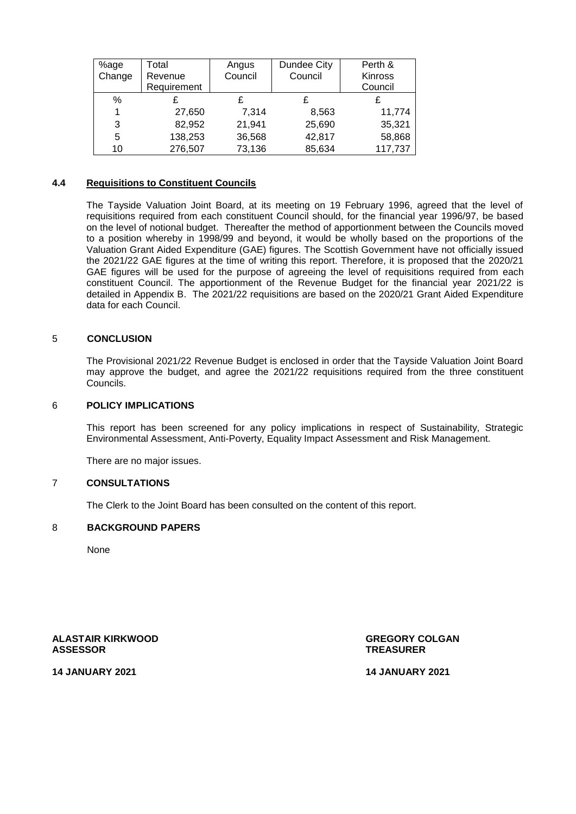| %age   | Total       | Angus   | Dundee City | Perth &        |
|--------|-------------|---------|-------------|----------------|
| Change | Revenue     | Council | Council     | <b>Kinross</b> |
|        | Requirement |         |             | Council        |
| %      |             |         |             |                |
|        | 27,650      | 7,314   | 8,563       | 11,774         |
| 3      | 82,952      | 21,941  | 25,690      | 35,321         |
| 5      | 138,253     | 36,568  | 42,817      | 58,868         |
| 10     | 276,507     | 73,136  | 85,634      | 117,737        |

#### **4.4 Requisitions to Constituent Councils**

The Tayside Valuation Joint Board, at its meeting on 19 February 1996, agreed that the level of requisitions required from each constituent Council should, for the financial year 1996/97, be based on the level of notional budget. Thereafter the method of apportionment between the Councils moved to a position whereby in 1998/99 and beyond, it would be wholly based on the proportions of the Valuation Grant Aided Expenditure (GAE) figures. The Scottish Government have not officially issued the 2021/22 GAE figures at the time of writing this report. Therefore, it is proposed that the 2020/21 GAE figures will be used for the purpose of agreeing the level of requisitions required from each constituent Council. The apportionment of the Revenue Budget for the financial year 2021/22 is detailed in Appendix B. The 2021/22 requisitions are based on the 2020/21 Grant Aided Expenditure data for each Council.

#### 5 **CONCLUSION**

The Provisional 2021/22 Revenue Budget is enclosed in order that the Tayside Valuation Joint Board may approve the budget, and agree the 2021/22 requisitions required from the three constituent Councils.

#### 6 **POLICY IMPLICATIONS**

This report has been screened for any policy implications in respect of Sustainability, Strategic Environmental Assessment, Anti-Poverty, Equality Impact Assessment and Risk Management.

There are no major issues.

#### 7 **CONSULTATIONS**

The Clerk to the Joint Board has been consulted on the content of this report.

#### 8 **BACKGROUND PAPERS**

None

**ALASTAIR KIRKWOOD GREGORY COLGAN**

**ASSESSOR TREASURER**

**14 JANUARY 2021 14 JANUARY 2021**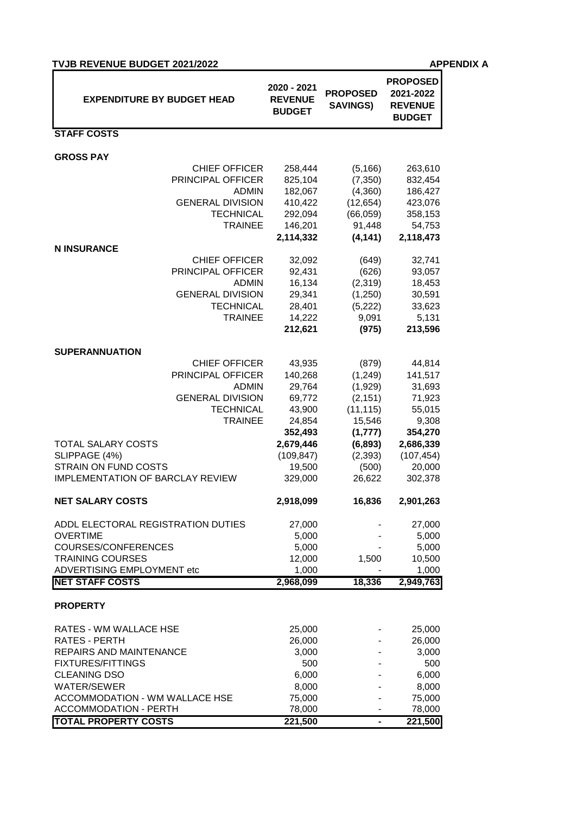| <b>TVJB REVENUE BUDGET 2021/2022</b> |
|--------------------------------------|
|--------------------------------------|

**APPENDIX A** 

| <b>EXPENDITURE BY BUDGET HEAD</b>                           | 2020 - 2021<br><b>REVENUE</b><br><b>BUDGET</b> | <b>PROPOSED</b><br><b>SAVINGS)</b> | <b>PROPOSED</b><br>2021-2022<br><b>REVENUE</b><br><b>BUDGET</b> |
|-------------------------------------------------------------|------------------------------------------------|------------------------------------|-----------------------------------------------------------------|
| <b>STAFF COSTS</b>                                          |                                                |                                    |                                                                 |
| <b>GROSS PAY</b>                                            |                                                |                                    |                                                                 |
| <b>CHIEF OFFICER</b>                                        | 258,444                                        | (5, 166)                           | 263,610                                                         |
| PRINCIPAL OFFICER                                           | 825,104                                        | (7, 350)                           | 832,454                                                         |
| <b>ADMIN</b>                                                | 182,067                                        | (4,360)                            | 186,427                                                         |
| <b>GENERAL DIVISION</b>                                     | 410,422                                        | (12, 654)                          | 423,076                                                         |
| <b>TECHNICAL</b>                                            | 292,094                                        | (66, 059)                          | 358,153                                                         |
| <b>TRAINEE</b>                                              | 146,201                                        | 91,448                             | 54,753                                                          |
|                                                             | 2,114,332                                      | (4, 141)                           | 2,118,473                                                       |
| <b>N INSURANCE</b><br><b>CHIEF OFFICER</b>                  |                                                |                                    | 32,741                                                          |
| PRINCIPAL OFFICER                                           | 32,092<br>92,431                               | (649)<br>(626)                     | 93,057                                                          |
| <b>ADMIN</b>                                                | 16,134                                         | (2,319)                            | 18,453                                                          |
| <b>GENERAL DIVISION</b>                                     | 29,341                                         | (1,250)                            | 30,591                                                          |
| <b>TECHNICAL</b>                                            | 28,401                                         | (5,222)                            | 33,623                                                          |
| <b>TRAINEE</b>                                              | 14,222                                         | 9,091                              | 5,131                                                           |
|                                                             | 212,621                                        | (975)                              | 213,596                                                         |
|                                                             |                                                |                                    |                                                                 |
| <b>SUPERANNUATION</b>                                       |                                                |                                    |                                                                 |
| <b>CHIEF OFFICER</b>                                        | 43,935                                         | (879)                              | 44,814                                                          |
| PRINCIPAL OFFICER                                           | 140,268                                        | (1, 249)                           | 141,517                                                         |
| <b>ADMIN</b><br><b>GENERAL DIVISION</b>                     | 29,764<br>69,772                               | (1,929)<br>(2, 151)                | 31,693<br>71,923                                                |
| <b>TECHNICAL</b>                                            | 43,900                                         | (11, 115)                          | 55,015                                                          |
| <b>TRAINEE</b>                                              | 24,854                                         | 15,546                             | 9,308                                                           |
|                                                             | 352,493                                        | (1, 777)                           | 354,270                                                         |
| <b>TOTAL SALARY COSTS</b>                                   | 2,679,446                                      | (6, 893)                           | 2,686,339                                                       |
| SLIPPAGE (4%)                                               | (109, 847)                                     | (2, 393)                           | (107, 454)                                                      |
| STRAIN ON FUND COSTS                                        | 19,500                                         | (500)                              | 20,000                                                          |
| <b>IMPLEMENTATION OF BARCLAY REVIEW</b>                     | 329,000                                        | 26,622                             | 302,378                                                         |
| <b>NET SALARY COSTS</b>                                     | 2,918,099                                      | 16,836                             | 2,901,263                                                       |
| ADDL ELECTORAL REGISTRATION DUTIES                          | 27,000                                         |                                    | 27,000                                                          |
| <b>OVERTIME</b>                                             | 5,000                                          |                                    | 5,000                                                           |
| COURSES/CONFERENCES                                         | 5,000                                          |                                    | 5,000                                                           |
| <b>TRAINING COURSES</b>                                     | 12,000                                         | 1,500                              | 10,500                                                          |
| ADVERTISING EMPLOYMENT etc                                  | 1,000                                          |                                    | 1,000                                                           |
| <b>NET STAFF COSTS</b>                                      | 2,968,099                                      | 18,336                             | 2,949,763                                                       |
| <b>PROPERTY</b>                                             |                                                |                                    |                                                                 |
| RATES - WM WALLACE HSE                                      | 25,000                                         |                                    | 25,000                                                          |
| RATES - PERTH                                               | 26,000                                         |                                    | 26,000                                                          |
| REPAIRS AND MAINTENANCE                                     | 3,000                                          |                                    | 3,000                                                           |
| <b>FIXTURES/FITTINGS</b>                                    | 500                                            |                                    | 500                                                             |
| <b>CLEANING DSO</b>                                         | 6,000                                          |                                    | 6,000                                                           |
| <b>WATER/SEWER</b>                                          | 8,000                                          |                                    | 8,000                                                           |
| ACCOMMODATION - WM WALLACE HSE                              | 75,000                                         |                                    | 75,000                                                          |
| <b>ACCOMMODATION - PERTH</b><br><b>TOTAL PROPERTY COSTS</b> | 78,000<br>221,500                              |                                    | 78,000<br>221,500                                               |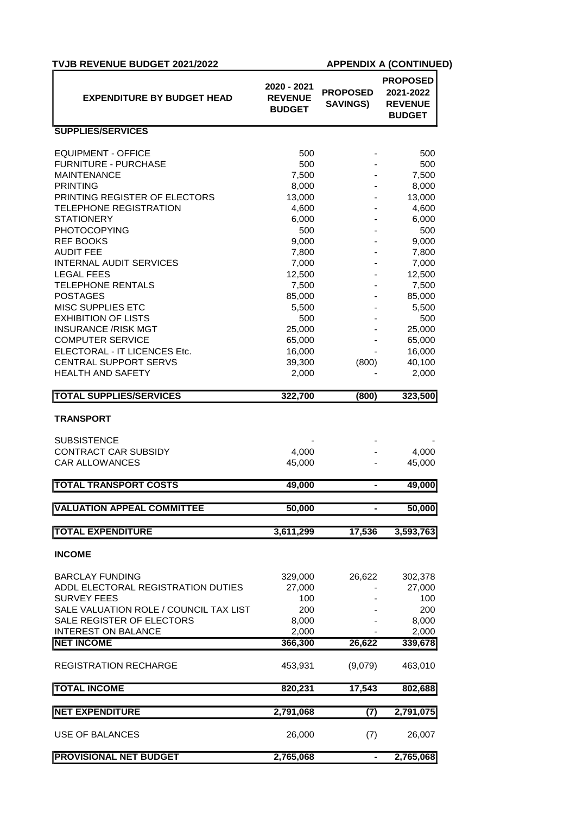| <b>TVJB REVENUE BUDGET 2021/2022</b>                  |                                                |                                    | <b>APPENDIX A (CONTINUED)</b>                                   |
|-------------------------------------------------------|------------------------------------------------|------------------------------------|-----------------------------------------------------------------|
| <b>EXPENDITURE BY BUDGET HEAD</b>                     | 2020 - 2021<br><b>REVENUE</b><br><b>BUDGET</b> | <b>PROPOSED</b><br><b>SAVINGS)</b> | <b>PROPOSED</b><br>2021-2022<br><b>REVENUE</b><br><b>BUDGET</b> |
| <b>SUPPLIES/SERVICES</b>                              |                                                |                                    |                                                                 |
| <b>EQUIPMENT - OFFICE</b>                             | 500                                            |                                    | 500                                                             |
| <b>FURNITURE - PURCHASE</b>                           | 500                                            |                                    | 500                                                             |
| <b>MAINTENANCE</b>                                    | 7,500                                          |                                    | 7,500                                                           |
| <b>PRINTING</b>                                       | 8,000                                          |                                    | 8,000                                                           |
| PRINTING REGISTER OF ELECTORS                         | 13,000                                         |                                    | 13,000                                                          |
| <b>TELEPHONE REGISTRATION</b>                         | 4,600                                          |                                    | 4,600                                                           |
| <b>STATIONERY</b>                                     | 6,000                                          |                                    | 6,000                                                           |
| <b>PHOTOCOPYING</b>                                   | 500                                            |                                    | 500                                                             |
| <b>REF BOOKS</b>                                      | 9,000                                          |                                    | 9,000                                                           |
| <b>AUDIT FEE</b>                                      | 7,800                                          |                                    | 7,800                                                           |
| <b>INTERNAL AUDIT SERVICES</b>                        | 7,000                                          |                                    | 7,000                                                           |
| <b>LEGAL FEES</b>                                     | 12,500                                         |                                    | 12,500                                                          |
| <b>TELEPHONE RENTALS</b>                              | 7,500                                          |                                    | 7,500                                                           |
| <b>POSTAGES</b>                                       | 85,000                                         |                                    | 85,000                                                          |
| <b>MISC SUPPLIES ETC</b>                              | 5,500                                          |                                    | 5,500                                                           |
| <b>EXHIBITION OF LISTS</b>                            | 500                                            |                                    | 500<br>25,000                                                   |
| <b>INSURANCE /RISK MGT</b><br><b>COMPUTER SERVICE</b> | 25,000                                         |                                    |                                                                 |
| ELECTORAL - IT LICENCES Etc.                          | 65,000<br>16,000                               |                                    | 65,000                                                          |
| <b>CENTRAL SUPPORT SERVS</b>                          | 39,300                                         | (800)                              | 16,000<br>40,100                                                |
| <b>HEALTH AND SAFETY</b>                              | 2,000                                          |                                    | 2,000                                                           |
|                                                       |                                                |                                    |                                                                 |
| <b>TOTAL SUPPLIES/SERVICES</b>                        | 322,700                                        | (800)                              | 323,500                                                         |
| <b>TRANSPORT</b>                                      |                                                |                                    |                                                                 |
| <b>SUBSISTENCE</b>                                    |                                                |                                    |                                                                 |
| <b>CONTRACT CAR SUBSIDY</b>                           | 4,000                                          |                                    | 4,000                                                           |
| <b>CAR ALLOWANCES</b>                                 | 45,000                                         |                                    | 45,000                                                          |
| <b>TOTAL TRANSPORT COSTS</b>                          | 49,000                                         | $\blacksquare$                     | 49,000                                                          |
| <b>VALUATION APPEAL COMMITTEE</b>                     | 50,000                                         |                                    | 50,000                                                          |
|                                                       |                                                |                                    |                                                                 |
| <b>TOTAL EXPENDITURE</b>                              | 3,611,299                                      | 17,536                             | 3,593,763                                                       |
| <b>INCOME</b>                                         |                                                |                                    |                                                                 |
| <b>BARCLAY FUNDING</b>                                | 329,000                                        | 26,622                             | 302,378                                                         |
| ADDL ELECTORAL REGISTRATION DUTIES                    | 27,000                                         |                                    | 27,000                                                          |
| <b>SURVEY FEES</b>                                    | 100                                            |                                    | 100                                                             |
| SALE VALUATION ROLE / COUNCIL TAX LIST                | 200                                            |                                    | 200                                                             |
| SALE REGISTER OF ELECTORS                             | 8,000                                          |                                    | 8,000                                                           |
| <b>INTEREST ON BALANCE</b>                            | 2,000                                          |                                    | 2,000                                                           |
| <b>NET INCOME</b>                                     | 366,300                                        | 26,622                             | 339,678                                                         |
| REGISTRATION RECHARGE                                 | 453,931                                        | (9,079)                            | 463,010                                                         |
| <b>TOTAL INCOME</b>                                   | 820,231                                        | 17,543                             | 802,688                                                         |
|                                                       |                                                |                                    |                                                                 |
| <b>NET EXPENDITURE</b>                                | 2,791,068                                      | (7)                                | 2,791,075                                                       |
| USE OF BALANCES                                       | 26,000                                         | (7)                                | 26,007                                                          |
| <b>PROVISIONAL NET BUDGET</b>                         | 2,765,068                                      | ٠                                  | 2,765,068                                                       |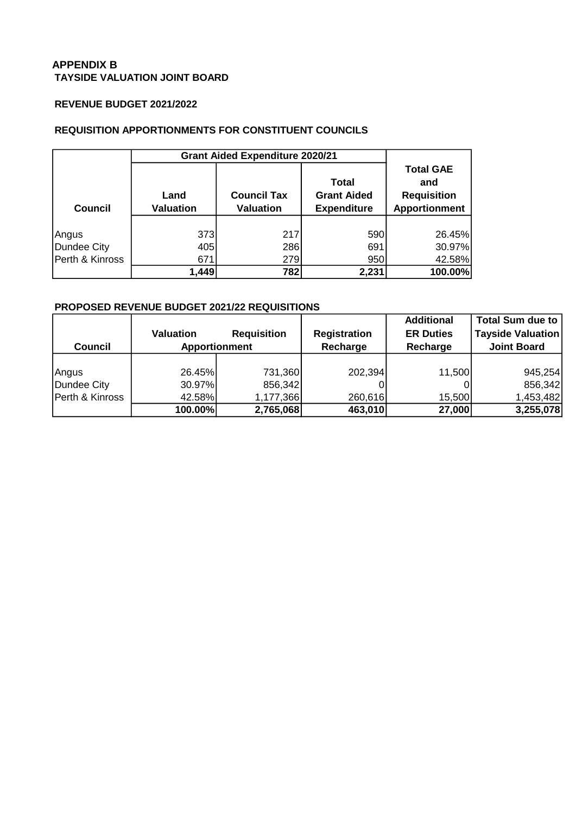## **APPENDIX B TAYSIDE VALUATION JOINT BOARD**

## **REVENUE BUDGET 2021/2022**

## **REQUISITION APPORTIONMENTS FOR CONSTITUENT COUNCILS**

|                 | <b>Grant Aided Expenditure 2020/21</b> |                                        |                                                          |                                                                       |  |
|-----------------|----------------------------------------|----------------------------------------|----------------------------------------------------------|-----------------------------------------------------------------------|--|
| Council         | Land<br><b>Valuation</b>               | <b>Council Tax</b><br><b>Valuation</b> | <b>Total</b><br><b>Grant Aided</b><br><b>Expenditure</b> | <b>Total GAE</b><br>and<br><b>Requisition</b><br><b>Apportionment</b> |  |
| Angus           | 373                                    | 217                                    | 590                                                      | 26.45%                                                                |  |
| Dundee City     | 405                                    | 286                                    | 691                                                      | 30.97%                                                                |  |
| Perth & Kinross | 671                                    | 279                                    | 950                                                      | 42.58%                                                                |  |
|                 | 1,449                                  | 782                                    | 2,231                                                    | 100.00%                                                               |  |

## **PROPOSED REVENUE BUDGET 2021/22 REQUISITIONS**

| <b>UNIU U INIIU U</b> | <b>UII</b>                                          | ں ہے               | oov.                | −∠.∪∪ /∪          |                          |  |
|-----------------------|-----------------------------------------------------|--------------------|---------------------|-------------------|--------------------------|--|
|                       | 1,449                                               | 782                | 2,231               | 100.00%           |                          |  |
|                       |                                                     |                    |                     |                   |                          |  |
|                       | <b>PROPOSED REVENUE BUDGET 2021/22 REQUISITIONS</b> |                    |                     |                   |                          |  |
|                       |                                                     |                    |                     | <b>Additional</b> | <b>Total Sum due to</b>  |  |
|                       | <b>Valuation</b>                                    | <b>Requisition</b> | <b>Registration</b> | <b>ER Duties</b>  | <b>Tayside Valuation</b> |  |
| <b>Council</b>        | <b>Apportionment</b>                                |                    | Recharge            | Recharge          | <b>Joint Board</b>       |  |
|                       |                                                     |                    |                     |                   |                          |  |
| Angus                 | 26.45%                                              | 731,360            | 202,394             | 11,500            | 945,254                  |  |
| Dundee City           | 30.97%                                              | 856,342            |                     |                   | 856,342                  |  |
| Perth & Kinross       | 42.58%                                              | 1,177,366          | 260,616             | 15,500            | 1,453,482                |  |
|                       | 100.00%                                             | 2,765,068          | 463,010             | 27,000            | 3,255,078                |  |
|                       |                                                     |                    |                     |                   |                          |  |